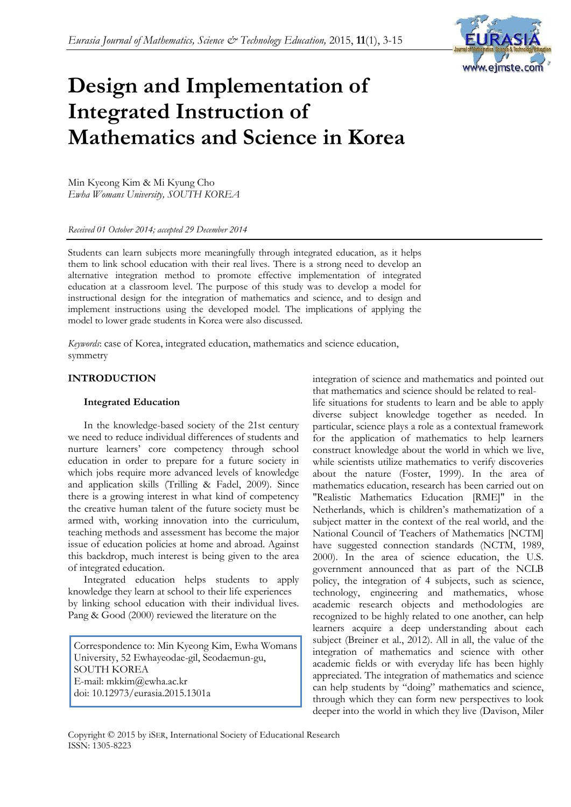

# **Design and Implementation of Integrated Instruction of Mathematics and Science in Korea**

Min Kyeong Kim & Mi Kyung Cho *Ewha Womans University, SOUTH KOREA*

*Received 01 October 2014; accepted 29 December 2014*

Students can learn subjects more meaningfully through integrated education, as it helps them to link school education with their real lives. There is a strong need to develop an alternative integration method to promote effective implementation of integrated education at a classroom level. The purpose of this study was to develop a model for instructional design for the integration of mathematics and science, and to design and implement instructions using the developed model. The implications of applying the model to lower grade students in Korea were also discussed.

*Keywords*: case of Korea, integrated education, mathematics and science education, symmetry

## **INTRODUCTION**

## **Integrated Education**

In the knowledge-based society of the 21st century we need to reduce individual differences of students and nurture learners" core competency through school education in order to prepare for a future society in which jobs require more advanced levels of knowledge and application skills (Trilling & Fadel, 2009). Since there is a growing interest in what kind of competency the creative human talent of the future society must be armed with, working innovation into the curriculum, teaching methods and assessment has become the major issue of education policies at home and abroad. Against this backdrop, much interest is being given to the area of integrated education.

Integrated education helps students to apply knowledge they learn at school to their life experiences by linking school education with their individual lives. Pang & Good (2000) reviewed the literature on the

Correspondence to: Min Kyeong Kim, Ewha Womans University, 52 Ewhayeodae-gil, Seodaemun-gu, SOUTH KOREA E-mail: mkkim@ewha.ac.kr doi: 10.12973/eurasia.2015.1301a

integration of science and mathematics and pointed out that mathematics and science should be related to real-

life situations for students to learn and be able to apply diverse subject knowledge together as needed. In particular, science plays a role as a contextual framework for the application of mathematics to help learners construct knowledge about the world in which we live, while scientists utilize mathematics to verify discoveries about the nature (Foster, 1999). In the area of mathematics education, research has been carried out on "Realistic Mathematics Education [RME]" in the Netherlands, which is children"s mathematization of a subject matter in the context of the real world, and the National Council of Teachers of Mathematics [NCTM] have suggested connection standards (NCTM, 1989, 2000). In the area of science education, the U.S. government announced that as part of the NCLB policy, the integration of 4 subjects, such as science, technology, engineering and mathematics, whose academic research objects and methodologies are recognized to be highly related to one another, can help learners acquire a deep understanding about each subject (Breiner et al., 2012). All in all, the value of the integration of mathematics and science with other academic fields or with everyday life has been highly appreciated. The integration of mathematics and science can help students by "doing" mathematics and science, through which they can form new perspectives to look deeper into the world in which they live (Davison, Miler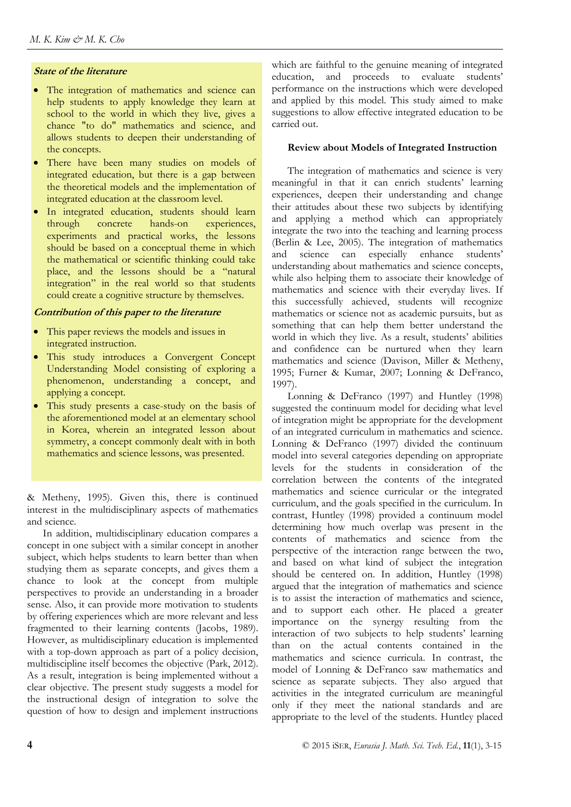# **State of the literature**

- The integration of mathematics and science can help students to apply knowledge they learn at school to the world in which they live, gives a chance "to do" mathematics and science, and allows students to deepen their understanding of the concepts.
- There have been many studies on models of integrated education, but there is a gap between the theoretical models and the implementation of integrated education at the classroom level.
- In integrated education, students should learn through concrete hands-on experiences, experiments and practical works, the lessons should be based on a conceptual theme in which the mathematical or scientific thinking could take place, and the lessons should be a "natural integration" in the real world so that students could create a cognitive structure by themselves.

### **Contribution of this paper to the literature**

- This paper reviews the models and issues in integrated instruction.
- This study introduces a Convergent Concept Understanding Model consisting of exploring a phenomenon, understanding a concept, and applying a concept.
- This study presents a case-study on the basis of the aforementioned model at an elementary school in Korea, wherein an integrated lesson about symmetry, a concept commonly dealt with in both mathematics and science lessons, was presented.

& Metheny, 1995). Given this, there is continued interest in the multidisciplinary aspects of mathematics and science.

In addition, multidisciplinary education compares a concept in one subject with a similar concept in another subject, which helps students to learn better than when studying them as separate concepts, and gives them a chance to look at the concept from multiple perspectives to provide an understanding in a broader sense. Also, it can provide more motivation to students by offering experiences which are more relevant and less fragmented to their learning contents (Jacobs, 1989). However, as multidisciplinary education is implemented with a top-down approach as part of a policy decision, multidiscipline itself becomes the objective (Park, 2012). As a result, integration is being implemented without a clear objective. The present study suggests a model for the instructional design of integration to solve the question of how to design and implement instructions which are faithful to the genuine meaning of integrated education, and proceeds to evaluate students' performance on the instructions which were developed and applied by this model. This study aimed to make suggestions to allow effective integrated education to be carried out.

## **Review about Models of Integrated Instruction**

The integration of mathematics and science is very meaningful in that it can enrich students' learning experiences, deepen their understanding and change their attitudes about these two subjects by identifying and applying a method which can appropriately integrate the two into the teaching and learning process (Berlin & Lee, 2005). The integration of mathematics and science can especially enhance students' understanding about mathematics and science concepts, while also helping them to associate their knowledge of mathematics and science with their everyday lives. If this successfully achieved, students will recognize mathematics or science not as academic pursuits, but as something that can help them better understand the world in which they live. As a result, students' abilities and confidence can be nurtured when they learn mathematics and science (Davison, Miller & Metheny, 1995; Furner & Kumar, 2007; Lonning & DeFranco, 1997).

Lonning & DeFranco (1997) and Huntley (1998) suggested the continuum model for deciding what level of integration might be appropriate for the development of an integrated curriculum in mathematics and science. Lonning & DeFranco (1997) divided the continuum model into several categories depending on appropriate levels for the students in consideration of the correlation between the contents of the integrated mathematics and science curricular or the integrated curriculum, and the goals specified in the curriculum. In contrast, Huntley (1998) provided a continuum model determining how much overlap was present in the contents of mathematics and science from the perspective of the interaction range between the two, and based on what kind of subject the integration should be centered on. In addition, Huntley (1998) argued that the integration of mathematics and science is to assist the interaction of mathematics and science, and to support each other. He placed a greater importance on the synergy resulting from the interaction of two subjects to help students' learning than on the actual contents contained in the mathematics and science curricula. In contrast, the model of Lonning & DeFranco saw mathematics and science as separate subjects. They also argued that activities in the integrated curriculum are meaningful only if they meet the national standards and are appropriate to the level of the students. Huntley placed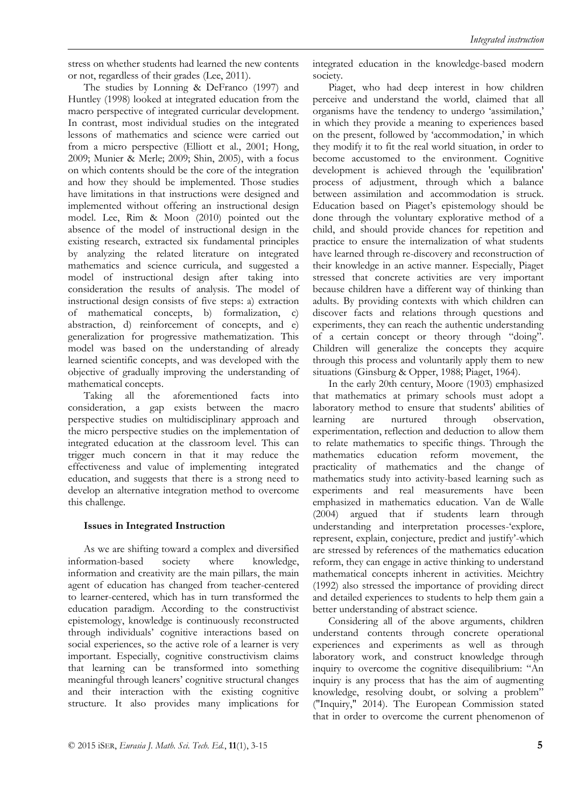stress on whether students had learned the new contents or not, regardless of their grades (Lee, 2011).

The studies by Lonning & DeFranco (1997) and Huntley (1998) looked at integrated education from the macro perspective of integrated curricular development. In contrast, most individual studies on the integrated lessons of mathematics and science were carried out from a micro perspective (Elliott et al., 2001; Hong, 2009; Munier & Merle; 2009; Shin, 2005), with a focus on which contents should be the core of the integration and how they should be implemented. Those studies have limitations in that instructions were designed and implemented without offering an instructional design model. Lee, Rim & Moon (2010) pointed out the absence of the model of instructional design in the existing research, extracted six fundamental principles by analyzing the related literature on integrated mathematics and science curricula, and suggested a model of instructional design after taking into consideration the results of analysis. The model of instructional design consists of five steps: a) extraction of mathematical concepts, b) formalization, c) abstraction, d) reinforcement of concepts, and e) generalization for progressive mathematization. This model was based on the understanding of already learned scientific concepts, and was developed with the objective of gradually improving the understanding of mathematical concepts.

Taking all the aforementioned facts into consideration, a gap exists between the macro perspective studies on multidisciplinary approach and the micro perspective studies on the implementation of integrated education at the classroom level. This can trigger much concern in that it may reduce the effectiveness and value of implementing integrated education, and suggests that there is a strong need to develop an alternative integration method to overcome this challenge.

### **Issues in Integrated Instruction**

As we are shifting toward a complex and diversified information-based society where knowledge, information and creativity are the main pillars, the main agent of education has changed from teacher-centered to learner-centered, which has in turn transformed the education paradigm. According to the constructivist epistemology, knowledge is continuously reconstructed through individuals" cognitive interactions based on social experiences, so the active role of a learner is very important. Especially, cognitive constructivism claims that learning can be transformed into something meaningful through leaners' cognitive structural changes and their interaction with the existing cognitive structure. It also provides many implications for integrated education in the knowledge-based modern society.

Piaget, who had deep interest in how children perceive and understand the world, claimed that all organisms have the tendency to undergo "assimilation," in which they provide a meaning to experiences based on the present, followed by 'accommodation,' in which they modify it to fit the real world situation, in order to become accustomed to the environment. Cognitive development is achieved through the 'equilibration' process of adjustment, through which a balance between assimilation and accommodation is struck. Education based on Piaget's epistemology should be done through the voluntary explorative method of a child, and should provide chances for repetition and practice to ensure the internalization of what students have learned through re-discovery and reconstruction of their knowledge in an active manner. Especially, Piaget stressed that concrete activities are very important because children have a different way of thinking than adults. By providing contexts with which children can discover facts and relations through questions and experiments, they can reach the authentic understanding of a certain concept or theory through "doing". Children will generalize the concepts they acquire through this process and voluntarily apply them to new situations (Ginsburg & Opper, 1988; Piaget, 1964).

In the early 20th century, Moore (1903) emphasized that mathematics at primary schools must adopt a laboratory method to ensure that students' abilities of learning are nurtured through observation, experimentation, reflection and deduction to allow them to relate mathematics to specific things. Through the mathematics education reform movement, the practicality of mathematics and the change of mathematics study into activity-based learning such as experiments and real measurements have been emphasized in mathematics education. Van de Walle (2004) argued that if students learn through understanding and interpretation processes-"explore, represent, explain, conjecture, predict and justify"-which are stressed by references of the mathematics education reform, they can engage in active thinking to understand mathematical concepts inherent in activities. Meichtry (1992) also stressed the importance of providing direct and detailed experiences to students to help them gain a better understanding of abstract science.

Considering all of the above arguments, children understand contents through concrete operational experiences and experiments as well as through laboratory work, and construct knowledge through inquiry to overcome the cognitive disequilibrium: "An inquiry is any process that has the aim of augmenting knowledge, resolving doubt, or solving a problem" ("Inquiry," 2014). The European Commission stated that in order to overcome the current phenomenon of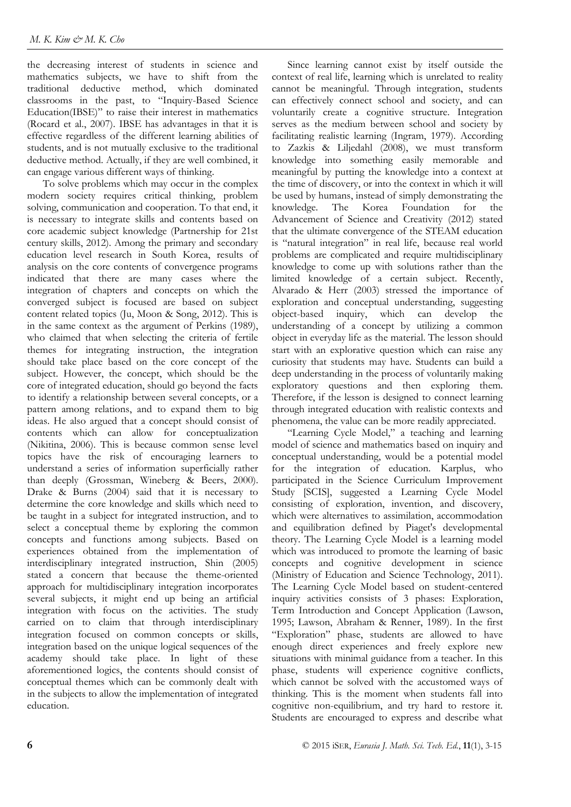the decreasing interest of students in science and mathematics subjects, we have to shift from the traditional deductive method, which dominated classrooms in the past, to "Inquiry-Based Science Education(IBSE)" to raise their interest in mathematics (Rocard et al., 2007). IBSE has advantages in that it is effective regardless of the different learning abilities of students, and is not mutually exclusive to the traditional deductive method. Actually, if they are well combined, it can engage various different ways of thinking.

To solve problems which may occur in the complex modern society requires critical thinking, problem solving, communication and cooperation. To that end, it is necessary to integrate skills and contents based on core academic subject knowledge (Partnership for 21st century skills, 2012). Among the primary and secondary education level research in South Korea, results of analysis on the core contents of convergence programs indicated that there are many cases where the integration of chapters and concepts on which the converged subject is focused are based on subject content related topics (Ju, Moon & Song, 2012). This is in the same context as the argument of Perkins (1989), who claimed that when selecting the criteria of fertile themes for integrating instruction, the integration should take place based on the core concept of the subject. However, the concept, which should be the core of integrated education, should go beyond the facts to identify a relationship between several concepts, or a pattern among relations, and to expand them to big ideas. He also argued that a concept should consist of contents which can allow for conceptualization (Nikitina, 2006). This is because common sense level topics have the risk of encouraging learners to understand a series of information superficially rather than deeply (Grossman, Wineberg & Beers, 2000). Drake & Burns (2004) said that it is necessary to determine the core knowledge and skills which need to be taught in a subject for integrated instruction, and to select a conceptual theme by exploring the common concepts and functions among subjects. Based on experiences obtained from the implementation of interdisciplinary integrated instruction, Shin (2005) stated a concern that because the theme-oriented approach for multidisciplinary integration incorporates several subjects, it might end up being an artificial integration with focus on the activities. The study carried on to claim that through interdisciplinary integration focused on common concepts or skills, integration based on the unique logical sequences of the academy should take place. In light of these aforementioned logics, the contents should consist of conceptual themes which can be commonly dealt with in the subjects to allow the implementation of integrated education.

Since learning cannot exist by itself outside the context of real life, learning which is unrelated to reality cannot be meaningful. Through integration, students can effectively connect school and society, and can voluntarily create a cognitive structure. Integration serves as the medium between school and society by facilitating realistic learning (Ingram, 1979). According to Zazkis & Liljedahl (2008), we must transform knowledge into something easily memorable and meaningful by putting the knowledge into a context at the time of discovery, or into the context in which it will be used by humans, instead of simply demonstrating the knowledge. The Korea Foundation for the Advancement of Science and Creativity (2012) stated that the ultimate convergence of the STEAM education is "natural integration" in real life, because real world problems are complicated and require multidisciplinary knowledge to come up with solutions rather than the limited knowledge of a certain subject. Recently, Alvarado & Herr (2003) stressed the importance of exploration and conceptual understanding, suggesting object-based inquiry, which can develop the understanding of a concept by utilizing a common object in everyday life as the material. The lesson should start with an explorative question which can raise any curiosity that students may have. Students can build a deep understanding in the process of voluntarily making exploratory questions and then exploring them. Therefore, if the lesson is designed to connect learning through integrated education with realistic contexts and phenomena, the value can be more readily appreciated.

"Learning Cycle Model," a teaching and learning model of science and mathematics based on inquiry and conceptual understanding, would be a potential model for the integration of education. Karplus, who participated in the Science Curriculum Improvement Study [SCIS], suggested a Learning Cycle Model consisting of exploration, invention, and discovery, which were alternatives to assimilation, accommodation and equilibration defined by Piaget's developmental theory. The Learning Cycle Model is a learning model which was introduced to promote the learning of basic concepts and cognitive development in science (Ministry of Education and Science Technology, 2011). The Learning Cycle Model based on student-centered inquiry activities consists of 3 phases: Exploration, Term Introduction and Concept Application (Lawson, 1995; Lawson, Abraham & Renner, 1989). In the first "Exploration" phase, students are allowed to have enough direct experiences and freely explore new situations with minimal guidance from a teacher. In this phase, students will experience cognitive conflicts, which cannot be solved with the accustomed ways of thinking. This is the moment when students fall into cognitive non-equilibrium, and try hard to restore it. Students are encouraged to express and describe what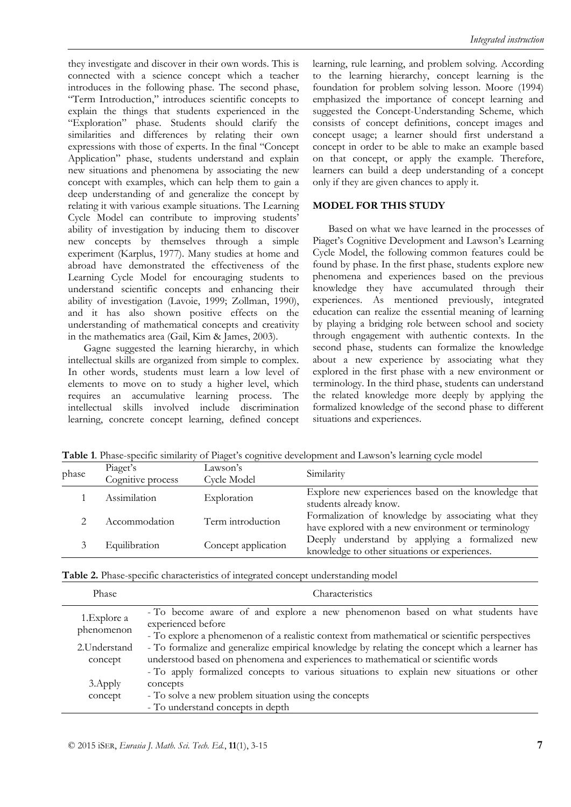they investigate and discover in their own words. This is connected with a science concept which a teacher introduces in the following phase. The second phase, "Term Introduction," introduces scientific concepts to explain the things that students experienced in the "Exploration" phase. Students should clarify the similarities and differences by relating their own expressions with those of experts. In the final "Concept Application" phase, students understand and explain new situations and phenomena by associating the new concept with examples, which can help them to gain a deep understanding of and generalize the concept by relating it with various example situations. The Learning Cycle Model can contribute to improving students' ability of investigation by inducing them to discover new concepts by themselves through a simple experiment (Karplus, 1977). Many studies at home and abroad have demonstrated the effectiveness of the Learning Cycle Model for encouraging students to understand scientific concepts and enhancing their ability of investigation (Lavoie, 1999; Zollman, 1990), and it has also shown positive effects on the understanding of mathematical concepts and creativity in the mathematics area (Gail, Kim & James, 2003).

Gagne suggested the learning hierarchy, in which intellectual skills are organized from simple to complex. In other words, students must learn a low level of elements to move on to study a higher level, which requires an accumulative learning process. The intellectual skills involved include discrimination learning, concrete concept learning, defined concept learning, rule learning, and problem solving. According to the learning hierarchy, concept learning is the foundation for problem solving lesson. Moore (1994) emphasized the importance of concept learning and suggested the Concept-Understanding Scheme, which consists of concept definitions, concept images and concept usage; a learner should first understand a concept in order to be able to make an example based on that concept, or apply the example. Therefore, learners can build a deep understanding of a concept only if they are given chances to apply it.

# **MODEL FOR THIS STUDY**

Based on what we have learned in the processes of Piaget's Cognitive Development and Lawson's Learning Cycle Model, the following common features could be found by phase. In the first phase, students explore new phenomena and experiences based on the previous knowledge they have accumulated through their experiences. As mentioned previously, integrated education can realize the essential meaning of learning by playing a bridging role between school and society through engagement with authentic contexts. In the second phase, students can formalize the knowledge about a new experience by associating what they explored in the first phase with a new environment or terminology. In the third phase, students can understand the related knowledge more deeply by applying the formalized knowledge of the second phase to different situations and experiences.

Table 1. Phase-specific similarity of Piaget's cognitive development and Lawson's learning cycle model

| phase | Piaget's<br>Cognitive process | Lawson's<br>Cycle Model | Similarity                                                                                                 |
|-------|-------------------------------|-------------------------|------------------------------------------------------------------------------------------------------------|
|       | Assimilation                  | Exploration             | Explore new experiences based on the knowledge that<br>students already know.                              |
|       | Accommodation                 | Term introduction       | Formalization of knowledge by associating what they<br>have explored with a new environment or terminology |
|       | Equilibration                 | Concept application     | Deeply understand by applying a formalized new<br>knowledge to other situations or experiences.            |

|--|

| Phase                      | Characteristics                                                                                                                                                                                                                                                               |
|----------------------------|-------------------------------------------------------------------------------------------------------------------------------------------------------------------------------------------------------------------------------------------------------------------------------|
| 1. Explore a<br>phenomenon | - To become aware of and explore a new phenomenon based on what students have<br>experienced before<br>- To explore a phenomenon of a realistic context from mathematical or scientific perspectives                                                                          |
| 2. Understand<br>concept   | - To formalize and generalize empirical knowledge by relating the concept which a learner has<br>understood based on phenomena and experiences to mathematical or scientific words<br>- To apply formalized concepts to various situations to explain new situations or other |
| 3. Apply<br>concept        | concepts<br>- To solve a new problem situation using the concepts<br>- To understand concepts in depth                                                                                                                                                                        |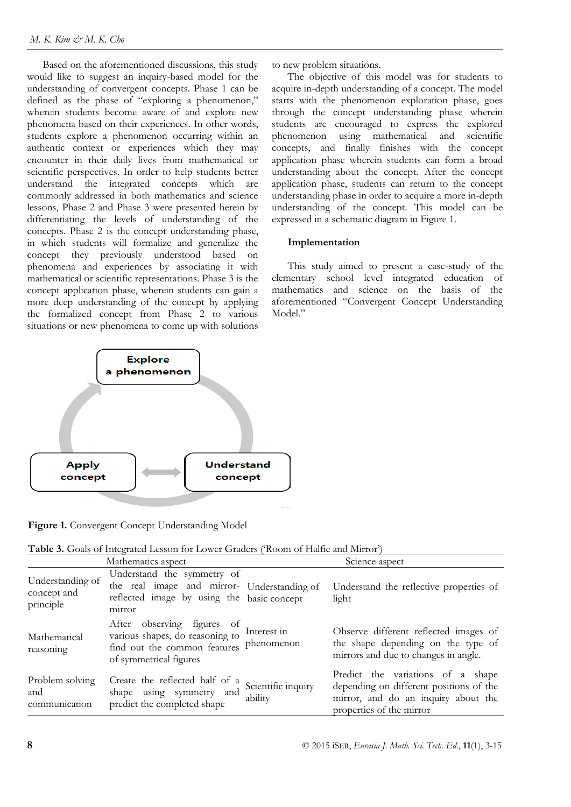Based on the aforementioned discussions, this study would like to suggest an inquiry-based model for the understanding of convergent concepts. Phase 1 can be defined as the phase of "exploring a phenomenon," wherein students become aware of and explore new phenomena based on their experiences. In other words, students explore a phenomenon occurring within an authentic context or experiences which they may encounter in their daily lives from mathematical or scientific perspectives. In order to help students better understand the integrated concepts which are commonly addressed in both mathematics and science lessons, Phase 2 and Phase 3 were presented herein by differentiating the levels of understanding of the concepts. Phase 2 is the concept understanding phase, in which students will formalize and generalize the concept they previously understood based on phenomena and experiences by associating it with mathematical or scientific representations. Phase 3 is the concept application phase, wherein students can gain a more deep understanding of the concept by applying the formalized concept from Phase 2 to various situations or new phenomena to come up with solutions

to new problem situations.

The objective of this model was for students to acquire in-depth understanding of a concept. The model starts with the phenomenon exploration phase, goes through the concept understanding phase wherein students are encouraged to express the explored phenomenon using mathematical and scientific concepts, and finally finishes with the concept application phase wherein students can form a broad understanding about the concept. After the concept application phase, students can return to the concept understanding phase in order to acquire a more in-depth understanding of the concept. This model can be expressed in a schematic diagram in Figure 1.

### **Implementation**

This study aimed to present a case-study of the elementary school level integrated education of mathematics and science on the basis of the aforementioned "Convergent Concept Understanding Model."



**Figure 1.** Convergent Concept Understanding Model

| Table 3. Goals of Integrated Lesson for Lower Graders ('Room of Halfie and Mirror') |  |
|-------------------------------------------------------------------------------------|--|
|-------------------------------------------------------------------------------------|--|

|                                              | Mathematics aspect                                                                                                                             |                               | Science aspect                                                                                                                                  |
|----------------------------------------------|------------------------------------------------------------------------------------------------------------------------------------------------|-------------------------------|-------------------------------------------------------------------------------------------------------------------------------------------------|
| Understanding of<br>concept and<br>principle | Understand the symmetry of<br>the real image and mirror- Understanding of<br>reflected image by using the basic concept<br>mirror              |                               | Understand the reflective properties of<br>light                                                                                                |
| Mathematical<br>reasoning                    | After observing figures of<br>various shapes, do reasoning to Interest in<br>find out the common features phenomenon<br>of symmetrical figures |                               | Observe different reflected images of<br>the shape depending on the type of<br>mirrors and due to changes in angle.                             |
| Problem solving<br>and<br>communication      | Create the reflected half of a<br>shape using symmetry and<br>predict the completed shape                                                      | Scientific inquiry<br>ability | Predict the variations of a shape<br>depending on different positions of the<br>mirror, and do an inquiry about the<br>properties of the mirror |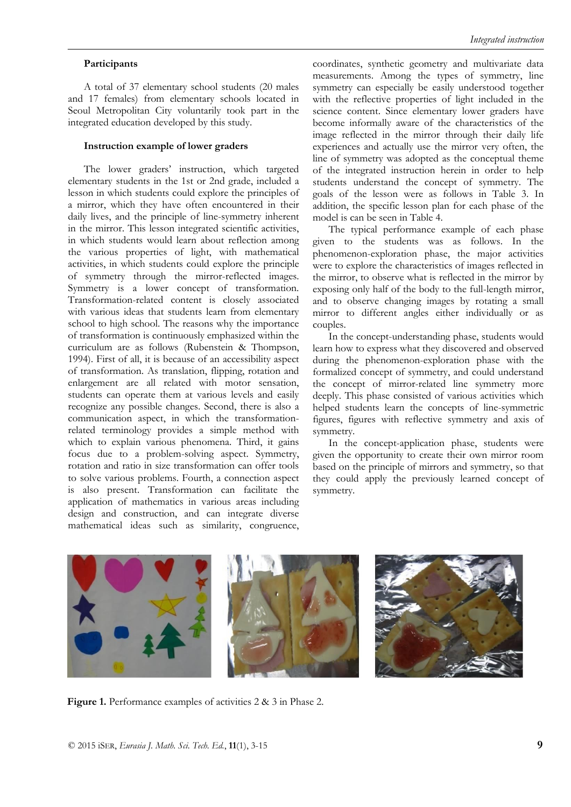#### *Integrated instruction*

#### **Participants**

A total of 37 elementary school students (20 males and 17 females) from elementary schools located in Seoul Metropolitan City voluntarily took part in the integrated education developed by this study.

#### **Instruction example of lower graders**

The lower graders' instruction, which targeted elementary students in the 1st or 2nd grade, included a lesson in which students could explore the principles of a mirror, which they have often encountered in their daily lives, and the principle of line-symmetry inherent in the mirror. This lesson integrated scientific activities, in which students would learn about reflection among the various properties of light, with mathematical activities, in which students could explore the principle of symmetry through the mirror-reflected images. Symmetry is a lower concept of transformation. Transformation-related content is closely associated with various ideas that students learn from elementary school to high school. The reasons why the importance of transformation is continuously emphasized within the curriculum are as follows (Rubenstein & Thompson, 1994). First of all, it is because of an accessibility aspect of transformation. As translation, flipping, rotation and enlargement are all related with motor sensation, students can operate them at various levels and easily recognize any possible changes. Second, there is also a communication aspect, in which the transformationrelated terminology provides a simple method with which to explain various phenomena. Third, it gains focus due to a problem-solving aspect. Symmetry, rotation and ratio in size transformation can offer tools to solve various problems. Fourth, a connection aspect is also present. Transformation can facilitate the application of mathematics in various areas including design and construction, and can integrate diverse mathematical ideas such as similarity, congruence, coordinates, synthetic geometry and multivariate data measurements. Among the types of symmetry, line symmetry can especially be easily understood together with the reflective properties of light included in the science content. Since elementary lower graders have become informally aware of the characteristics of the image reflected in the mirror through their daily life experiences and actually use the mirror very often, the line of symmetry was adopted as the conceptual theme of the integrated instruction herein in order to help students understand the concept of symmetry. The goals of the lesson were as follows in Table 3. In addition, the specific lesson plan for each phase of the model is can be seen in Table 4.

The typical performance example of each phase given to the students was as follows. In the phenomenon-exploration phase, the major activities were to explore the characteristics of images reflected in the mirror, to observe what is reflected in the mirror by exposing only half of the body to the full-length mirror, and to observe changing images by rotating a small mirror to different angles either individually or as couples.

In the concept-understanding phase, students would learn how to express what they discovered and observed during the phenomenon-exploration phase with the formalized concept of symmetry, and could understand the concept of mirror-related line symmetry more deeply. This phase consisted of various activities which helped students learn the concepts of line-symmetric figures, figures with reflective symmetry and axis of symmetry.

In the concept-application phase, students were given the opportunity to create their own mirror room based on the principle of mirrors and symmetry, so that they could apply the previously learned concept of symmetry.



Figure 1. Performance examples of activities 2 & 3 in Phase 2.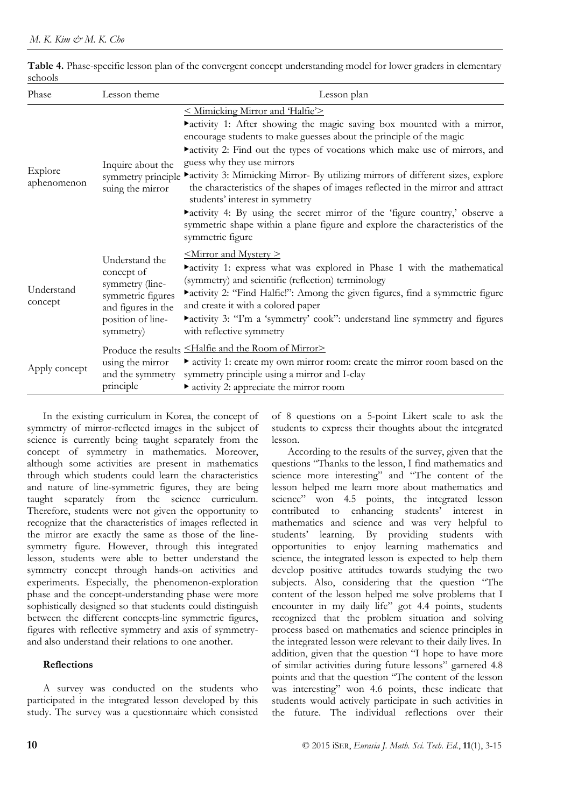| Phase                  | Lesson theme                                                                                                                 | Lesson plan                                                                                                                                                                                                                                                                                                                                                                                                                                                                                                                                                                                                                                                                               |
|------------------------|------------------------------------------------------------------------------------------------------------------------------|-------------------------------------------------------------------------------------------------------------------------------------------------------------------------------------------------------------------------------------------------------------------------------------------------------------------------------------------------------------------------------------------------------------------------------------------------------------------------------------------------------------------------------------------------------------------------------------------------------------------------------------------------------------------------------------------|
| Explore<br>aphenomenon | Inquire about the<br>symmetry principle<br>suing the mirror                                                                  | < Mimicking Mirror and 'Halfie'><br>ractivity 1: After showing the magic saving box mounted with a mirror,<br>encourage students to make guesses about the principle of the magic<br>ractivity 2: Find out the types of vocations which make use of mirrors, and<br>guess why they use mirrors<br>relativity 3: Mimicking Mirror- By utilizing mirrors of different sizes, explore<br>the characteristics of the shapes of images reflected in the mirror and attract<br>students' interest in symmetry<br>ractivity 4: By using the secret mirror of the 'figure country,' observe a<br>symmetric shape within a plane figure and explore the characteristics of the<br>symmetric figure |
| Understand<br>concept  | Understand the<br>concept of<br>symmetry (line-<br>symmetric figures<br>and figures in the<br>position of line-<br>symmetry) | $\leq$ Mirror and Mystery $\geq$<br>ractivity 1: express what was explored in Phase 1 with the mathematical<br>(symmetry) and scientific (reflection) terminology<br>ractivity 2: "Find Halfie!": Among the given figures, find a symmetric figure<br>and create it with a colored paper<br>ractivity 3: "I'm a 'symmetry' cook": understand line symmetry and figures<br>with reflective symmetry                                                                                                                                                                                                                                                                                        |
| Apply concept          | using the mirror<br>and the symmetry<br>principle                                                                            | Produce the results <halfie and="" mirror="" of="" room="" the=""><br/>• activity 1: create my own mirror room: create the mirror room based on the<br/>symmetry principle using a mirror and I-clay<br/>• activity 2: appreciate the mirror room</halfie>                                                                                                                                                                                                                                                                                                                                                                                                                                |

#### **Table 4.** Phase-specific lesson plan of the convergent concept understanding model for lower graders in elementary schools

In the existing curriculum in Korea, the concept of symmetry of mirror-reflected images in the subject of science is currently being taught separately from the concept of symmetry in mathematics. Moreover, although some activities are present in mathematics through which students could learn the characteristics and nature of line-symmetric figures, they are being taught separately from the science curriculum. Therefore, students were not given the opportunity to recognize that the characteristics of images reflected in the mirror are exactly the same as those of the linesymmetry figure. However, through this integrated lesson, students were able to better understand the symmetry concept through hands-on activities and experiments. Especially, the phenomenon-exploration phase and the concept-understanding phase were more sophistically designed so that students could distinguish between the different concepts-line symmetric figures, figures with reflective symmetry and axis of symmetryand also understand their relations to one another.

### **Reflections**

A survey was conducted on the students who participated in the integrated lesson developed by this study. The survey was a questionnaire which consisted of 8 questions on a 5-point Likert scale to ask the students to express their thoughts about the integrated lesson.

According to the results of the survey, given that the questions "Thanks to the lesson, I find mathematics and science more interesting" and "The content of the lesson helped me learn more about mathematics and science" won 4.5 points, the integrated lesson contributed to enhancing students" interest in mathematics and science and was very helpful to students" learning. By providing students with opportunities to enjoy learning mathematics and science, the integrated lesson is expected to help them develop positive attitudes towards studying the two subjects. Also, considering that the question "The content of the lesson helped me solve problems that I encounter in my daily life" got 4.4 points, students recognized that the problem situation and solving process based on mathematics and science principles in the integrated lesson were relevant to their daily lives. In addition, given that the question "I hope to have more of similar activities during future lessons" garnered 4.8 points and that the question "The content of the lesson was interesting" won 4.6 points, these indicate that students would actively participate in such activities in the future. The individual reflections over their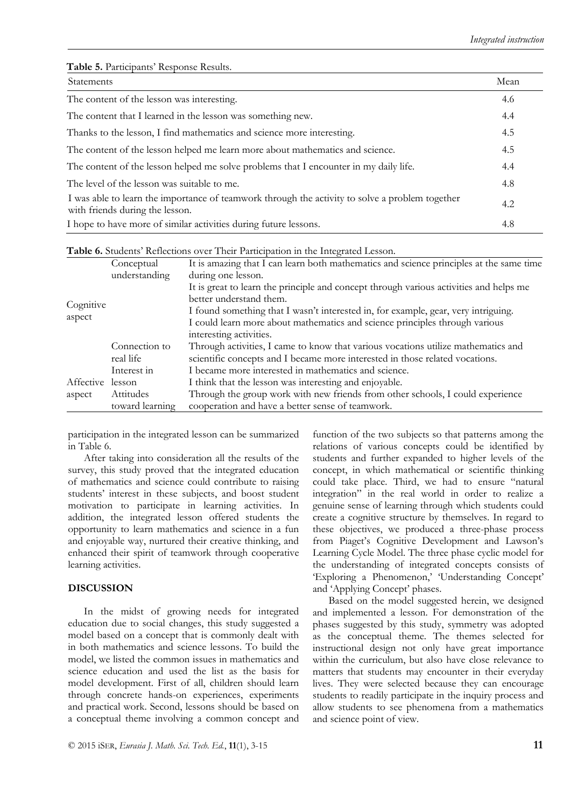Table 5. Participants' Response Results.

| <b>Statements</b>                                                                                                                  | Mean |
|------------------------------------------------------------------------------------------------------------------------------------|------|
| The content of the lesson was interesting.                                                                                         | 4.6  |
| The content that I learned in the lesson was something new.                                                                        | 4.4  |
| Thanks to the lesson, I find mathematics and science more interesting.                                                             | 4.5  |
| The content of the lesson helped me learn more about mathematics and science.                                                      | 4.5  |
| The content of the lesson helped me solve problems that I encounter in my daily life.                                              | 4.4  |
| The level of the lesson was suitable to me.                                                                                        | 4.8  |
| I was able to learn the importance of teamwork through the activity to solve a problem together<br>with friends during the lesson. | 4.2  |
| I hope to have more of similar activities during future lessons.                                                                   | 4.8  |

|  |  | Table 6. Students' Reflections over Their Participation in the Integrated Lesson. |
|--|--|-----------------------------------------------------------------------------------|
|  |  |                                                                                   |

|           | Conceptual      | It is amazing that I can learn both mathematics and science principles at the same time |
|-----------|-----------------|-----------------------------------------------------------------------------------------|
|           | understanding   | during one lesson.                                                                      |
|           |                 | It is great to learn the principle and concept through various activities and helps me  |
|           |                 | better understand them.                                                                 |
| Cognitive |                 | I found something that I wasn't interested in, for example, gear, very intriguing.      |
| aspect    |                 | I could learn more about mathematics and science principles through various             |
|           |                 | interesting activities.                                                                 |
|           | Connection to   | Through activities, I came to know that various vocations utilize mathematics and       |
|           | real life       | scientific concepts and I became more interested in those related vocations.            |
|           | Interest in     | I became more interested in mathematics and science.                                    |
| Affective | lesson          | I think that the lesson was interesting and enjoyable.                                  |
| aspect    | Attitudes       | Through the group work with new friends from other schools, I could experience          |
|           | toward learning | cooperation and have a better sense of teamwork.                                        |

participation in the integrated lesson can be summarized in Table 6.

After taking into consideration all the results of the survey, this study proved that the integrated education of mathematics and science could contribute to raising students" interest in these subjects, and boost student motivation to participate in learning activities. In addition, the integrated lesson offered students the opportunity to learn mathematics and science in a fun and enjoyable way, nurtured their creative thinking, and enhanced their spirit of teamwork through cooperative learning activities.

### **DISCUSSION**

In the midst of growing needs for integrated education due to social changes, this study suggested a model based on a concept that is commonly dealt with in both mathematics and science lessons. To build the model, we listed the common issues in mathematics and science education and used the list as the basis for model development. First of all, children should learn through concrete hands-on experiences, experiments and practical work. Second, lessons should be based on a conceptual theme involving a common concept and function of the two subjects so that patterns among the relations of various concepts could be identified by students and further expanded to higher levels of the concept, in which mathematical or scientific thinking could take place. Third, we had to ensure "natural integration" in the real world in order to realize a genuine sense of learning through which students could create a cognitive structure by themselves. In regard to these objectives, we produced a three-phase process from Piaget's Cognitive Development and Lawson's Learning Cycle Model. The three phase cyclic model for the understanding of integrated concepts consists of 'Exploring a Phenomenon,' 'Understanding Concept' and 'Applying Concept' phases.

Based on the model suggested herein, we designed and implemented a lesson. For demonstration of the phases suggested by this study, symmetry was adopted as the conceptual theme. The themes selected for instructional design not only have great importance within the curriculum, but also have close relevance to matters that students may encounter in their everyday lives. They were selected because they can encourage students to readily participate in the inquiry process and allow students to see phenomena from a mathematics and science point of view.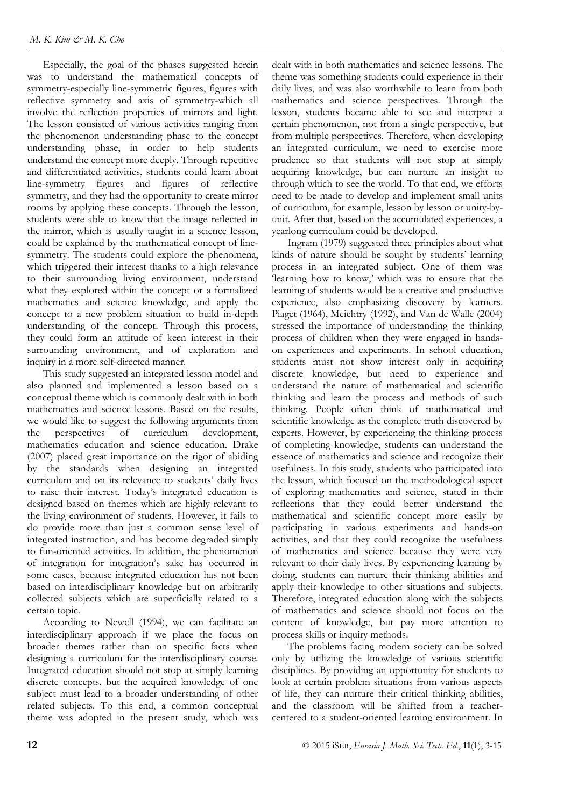Especially, the goal of the phases suggested herein was to understand the mathematical concepts of symmetry-especially line-symmetric figures, figures with reflective symmetry and axis of symmetry-which all involve the reflection properties of mirrors and light. The lesson consisted of various activities ranging from the phenomenon understanding phase to the concept understanding phase, in order to help students understand the concept more deeply. Through repetitive and differentiated activities, students could learn about line-symmetry figures and figures of reflective symmetry, and they had the opportunity to create mirror rooms by applying these concepts. Through the lesson, students were able to know that the image reflected in the mirror, which is usually taught in a science lesson, could be explained by the mathematical concept of linesymmetry. The students could explore the phenomena, which triggered their interest thanks to a high relevance to their surrounding living environment, understand what they explored within the concept or a formalized mathematics and science knowledge, and apply the concept to a new problem situation to build in-depth understanding of the concept. Through this process, they could form an attitude of keen interest in their surrounding environment, and of exploration and inquiry in a more self-directed manner.

This study suggested an integrated lesson model and also planned and implemented a lesson based on a conceptual theme which is commonly dealt with in both mathematics and science lessons. Based on the results, we would like to suggest the following arguments from the perspectives of curriculum development, mathematics education and science education. Drake (2007) placed great importance on the rigor of abiding by the standards when designing an integrated curriculum and on its relevance to students' daily lives to raise their interest. Today"s integrated education is designed based on themes which are highly relevant to the living environment of students. However, it fails to do provide more than just a common sense level of integrated instruction, and has become degraded simply to fun-oriented activities. In addition, the phenomenon of integration for integration"s sake has occurred in some cases, because integrated education has not been based on interdisciplinary knowledge but on arbitrarily collected subjects which are superficially related to a certain topic.

According to Newell (1994), we can facilitate an interdisciplinary approach if we place the focus on broader themes rather than on specific facts when designing a curriculum for the interdisciplinary course. Integrated education should not stop at simply learning discrete concepts, but the acquired knowledge of one subject must lead to a broader understanding of other related subjects. To this end, a common conceptual theme was adopted in the present study, which was dealt with in both mathematics and science lessons. The theme was something students could experience in their daily lives, and was also worthwhile to learn from both mathematics and science perspectives. Through the lesson, students became able to see and interpret a certain phenomenon, not from a single perspective, but from multiple perspectives. Therefore, when developing an integrated curriculum, we need to exercise more prudence so that students will not stop at simply acquiring knowledge, but can nurture an insight to through which to see the world. To that end, we efforts need to be made to develop and implement small units of curriculum, for example, lesson by lesson or unity-byunit. After that, based on the accumulated experiences, a yearlong curriculum could be developed.

Ingram (1979) suggested three principles about what kinds of nature should be sought by students' learning process in an integrated subject. One of them was 'learning how to know,' which was to ensure that the learning of students would be a creative and productive experience, also emphasizing discovery by learners. Piaget (1964), Meichtry (1992), and Van de Walle (2004) stressed the importance of understanding the thinking process of children when they were engaged in handson experiences and experiments. In school education, students must not show interest only in acquiring discrete knowledge, but need to experience and understand the nature of mathematical and scientific thinking and learn the process and methods of such thinking. People often think of mathematical and scientific knowledge as the complete truth discovered by experts. However, by experiencing the thinking process of completing knowledge, students can understand the essence of mathematics and science and recognize their usefulness. In this study, students who participated into the lesson, which focused on the methodological aspect of exploring mathematics and science, stated in their reflections that they could better understand the mathematical and scientific concept more easily by participating in various experiments and hands-on activities, and that they could recognize the usefulness of mathematics and science because they were very relevant to their daily lives. By experiencing learning by doing, students can nurture their thinking abilities and apply their knowledge to other situations and subjects. Therefore, integrated education along with the subjects of mathematics and science should not focus on the content of knowledge, but pay more attention to process skills or inquiry methods.

The problems facing modern society can be solved only by utilizing the knowledge of various scientific disciplines. By providing an opportunity for students to look at certain problem situations from various aspects of life, they can nurture their critical thinking abilities, and the classroom will be shifted from a teachercentered to a student-oriented learning environment. In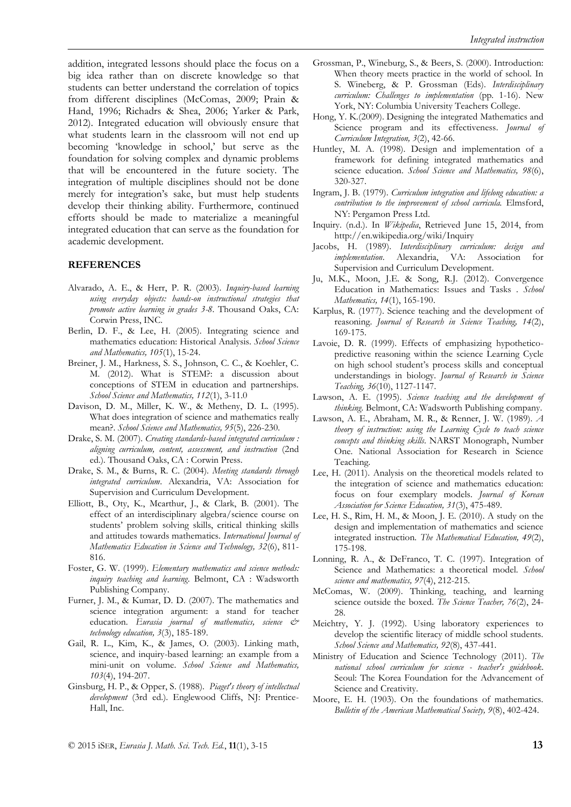addition, integrated lessons should place the focus on a big idea rather than on discrete knowledge so that students can better understand the correlation of topics from different disciplines (McComas, 2009; Prain & Hand, 1996; Richadrs & Shea, 2006; Yarker & Park, 2012). Integrated education will obviously ensure that what students learn in the classroom will not end up becoming "knowledge in school," but serve as the foundation for solving complex and dynamic problems that will be encountered in the future society. The integration of multiple disciplines should not be done merely for integration"s sake, but must help students develop their thinking ability. Furthermore, continued efforts should be made to materialize a meaningful integrated education that can serve as the foundation for academic development.

#### **REFERENCES**

- Alvarado, A. E., & Herr, P. R. (2003). *Inquiry-based learning using everyday objects: hands-on instructional strategies that promote active learning in grades 3-8*. Thousand Oaks, CA: Corwin Press, INC.
- Berlin, D. F., & Lee, H. (2005). Integrating science and mathematics education: Historical Analysis. *School Science and Mathematics, 105*(1), 15-24.
- Breiner, J. M., Harkness, S. S., Johnson, C. C., & Koehler, C. M. (2012). What is STEM?: a discussion about conceptions of STEM in education and partnerships. *School Science and Mathematics, 112*(1), 3-11.0
- Davison, D. M., Miller, K. W., & Metheny, D. L. (1995). What does integration of science and mathematics really mean?. *School Science and Mathematics, 95*(5), 226-230.
- Drake, S. M. (2007). *Creating standards-based integrated curriculum : aligning curriculum, content, assessment, and instruction* (2nd ed.). Thousand Oaks, CA : Corwin Press.
- Drake, S. M., & Burns, R. C. (2004). *Meeting standards through integrated curriculum*. Alexandria, VA: Association for Supervision and Curriculum Development.
- Elliott, B., Oty, K., Mcarthur, J., & Clark, B. (2001). The effect of an interdisciplinary algebra/science course on students" problem solving skills, critical thinking skills and attitudes towards mathematics. *International Journal of Mathematics Education in Science and Technology, 32*(6), 811- 816.
- Foster, G. W. (1999). *Elementary mathematics and science methods: inquiry teaching and learning*. Belmont, CA : Wadsworth Publishing Company.
- Furner, J. M., & Kumar, D. D. (2007). The mathematics and science integration argument: a stand for teacher education. *Eurasia journal of mathematics, science & technology education, 3*(3), 185-189.
- Gail, R. L., Kim, K., & James, O. (2003). Linking math, science, and inquiry-based learning: an example from a mini-unit on volume. *School Science and Mathematics, 103*(4), 194-207.
- Ginsburg, H. P., & Opper, S. (1988). *Piaget's theory of intellectual development* (3rd ed.). Englewood Cliffs, NJ: Prentice-Hall, Inc.
- Grossman, P., Wineburg, S., & Beers, S. (2000). Introduction: When theory meets practice in the world of school. In S. Wineberg, & P. Grossman (Eds). *Interdisciplinary curriculum: Challenges to implementation* (pp. 1-16). New York, NY: Columbia University Teachers College.
- Hong, Y. K.(2009). Designing the integrated Mathematics and Science program and its effectiveness. *Journal of Curriculum Integration, 3*(2), 42-66.
- Huntley, M. A. (1998). Design and implementation of a framework for defining integrated mathematics and science education. *School Science and Mathematics, 98*(6), 320-327.
- Ingram, J. B. (1979). *Curriculum integration and lifelong education: a contribution to the improvement of school curricula.* Elmsford, NY: Pergamon Press Ltd.
- Inquiry. (n.d.). In *Wikipedia*, Retrieved June 15, 2014, from <http://en.wikipedia.org/wiki/Inquiry>
- Jacobs, H. (1989). *Interdisciplinary curriculum: design and implementation*. Alexandria, VA: Association for Supervision and Curriculum Development.
- Ju, M.K., Moon, J.E. & Song, R.J. (2012). Convergence Education in Mathematics: Issues and Tasks . *School Mathematics, 14*(1), 165-190.
- Karplus, R. (1977). Science teaching and the development of reasoning. *Journal of Research in Science Teaching, 14*(2), 169-175.
- Lavoie, D. R. (1999). Effects of emphasizing hypotheticopredictive reasoning within the science Learning Cycle on high school student"s process skills and conceptual understandings in biology. *Journal of Research in Science Teaching, 36*(10), 1127-1147.
- Lawson, A. E. (1995). *Science teaching and the development of thinking*. Belmont, CA: Wadsworth Publishing company.
- Lawson, A. E., Abraham, M. R., & Renner, J. W. (1989). *A theory of instruction: using the Learning Cycle to teach science concepts and thinking skills*. NARST Monograph, Number One. National Association for Research in Science Teaching.
- Lee, H. (2011). Analysis on the theoretical models related to the integration of science and mathematics education: focus on four exemplary models. *Journal of Korean Association for Science Education, 31*(3), 475-489.
- Lee, H. S., Rim, H. M., & Moon, J. E. (2010). A study on the design and implementation of mathematics and science integrated instruction. *The Mathematical Education, 49*(2), 175-198.
- Lonning, R. A., & DeFranco, T. C. (1997). Integration of Science and Mathematics: a theoretical model. *School science and mathematics, 97*(4), 212-215.
- McComas, W. (2009). Thinking, teaching, and learning science outside the boxed. *The Science Teacher, 76*(2), 24- 28.
- Meichtry, Y. J. (1992). Using laboratory experiences to develop the scientific literacy of middle school students. *School Science and Mathematics, 92*(8), 437-441.
- Ministry of Education and Science Technology (2011). *The national school curriculum for science - teacher's guidebook*. Seoul: The Korea Foundation for the Advancement of Science and Creativity.
- Moore, E. H. (1903). On the foundations of mathematics. *Bulletin of the American Mathematical Society, 9*(8), 402-424.